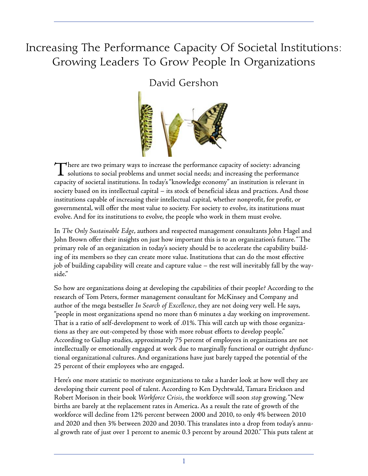# **Increasing The Performance Capacity Of Societal Institutions: Growing Leaders To Grow People In Organizations**

#### **David Gershon**



There are two primary ways to increase the performance capacity of society: advancing  $\blacktriangle$  solutions to social problems and unmet social needs; and increasing the performance capacity of societal institutions. In today's"knowledge economy" an institution is relevant in society based on its intellectual capital – its stock of beneficial ideas and practices. And those institutions capable of increasing their intellectual capital, whether nonprofit, for profit, or governmental, will offer the most value to society. For society to evolve, its institutions must evolve. And for its institutions to evolve, the people who work in them must evolve.

In *The Only Sustainable Edge*, authors and respected management consultants John Hagel and John Brown offer their insights on just how important this is to an organization's future."The primary role of an organization in today's society should be to accelerate the capability building of its members so they can create more value. Institutions that can do the most effective job of building capability will create and capture value – the rest will inevitably fall by the wayside."

So how are organizations doing at developing the capabilities of their people? According to the research of Tom Peters, former management consultant for McKinsey and Company and author of the mega bestseller *In Search of Excellence*, they are not doing very well. He says, "people in most organizations spend no more than 6 minutes a day working on improvement. That is a ratio of self-development to work of .01%. This will catch up with those organizations as they are out-competed by those with more robust efforts to develop people." According to Gallup studies, approximately 75 percent of employees in organizations are not intellectually or emotionally engaged at work due to marginally functional or outright dysfunctional organizational cultures. And organizations have just barely tapped the potential of the 25 percent of their employees who are engaged.

Here's one more statistic to motivate organizations to take a harder look at how well they are developing their current pool of talent. According to Ken Dychtwald, Tamara Erickson and Robert Morison in their book *Workforce Crisis*, the workforce will soon *stop* growing."New births are barely at the replacement rates in America. As a result the rate of growth of the workforce will decline from 12% percent between 2000 and 2010, to only 4% between 2010 and 2020 and then 3% between 2020 and 2030. This translates into a drop from today's annual growth rate of just over 1 percent to anemic 0.3 percent by around 2020." This puts talent at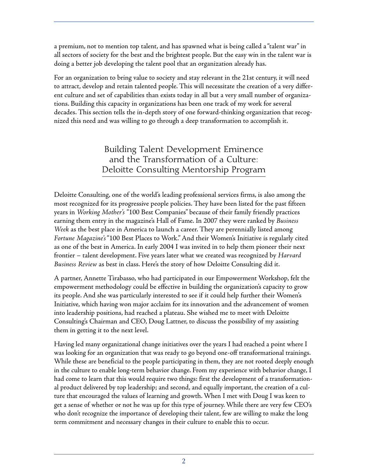a premium, not to mention top talent, and has spawned what is being called a "talent war" in all sectors of society for the best and the brightest people. But the easy win in the talent war is doing a better job developing the talent pool that an organization already has.

For an organization to bring value to society and stay relevant in the 21st century, it will need to attract, develop and retain talented people. This will necessitate the creation of a very different culture and set of capabilities than exists today in all but a very small number of organizations. Building this capacity in organizations has been one track of my work for several decades. This section tells the in-depth story of one forward-thinking organization that recognized this need and was willing to go through a deep transformation to accomplish it.

#### **Building Talent Development Eminence and the Transformation of a Culture: Deloitte Consulting Mentorship Program**

Deloitte Consulting, one of the world's leading professional services firms, is also among the most recognized for its progressive people policies. They have been listed for the past fifteen years in *Working Mother's* "100 Best Companies" because of their family friendly practices earning them entry in the magazine's Hall of Fame. In 2007 they were ranked by *Business Week* as the best place in America to launch a career. They are perennially listed among *Fortune Magazine's*"100 Best Places to Work." And their Women's Initiative is regularly cited as one of the best in America. In early 2004 I was invited in to help them pioneer their next frontier – talent development. Five years later what we created was recognized by *Harvard Business Review* as best in class. Here's the story of how Deloitte Consulting did it.

A partner, Annette Tirabasso, who had participated in our Empowerment Workshop, felt the empowerment methodology could be effective in building the organization's capacity to grow its people. And she was particularly interested to see if it could help further their Women's Initiative, which having won major acclaim for its innovation and the advancement of women into leadership positions, had reached a plateau. She wished me to meet with Deloitte Consulting's Chairman and CEO, Doug Lattner, to discuss the possibility of my assisting them in getting it to the next level.

Having led many organizational change initiatives over the years I had reached a point where I was looking for an organization that was ready to go beyond one-off transformational trainings. While these are beneficial to the people participating in them, they are not rooted deeply enough in the culture to enable long-term behavior change. From my experience with behavior change, I had come to learn that this would require two things: first the development of a transformational product delivered by top leadership; and second, and equally important, the creation of a culture that encouraged the values of learning and growth. When I met with Doug I was keen to get a sense of whether or not he was up for this type of journey. While there are very few CEO's who don't recognize the importance of developing their talent, few are willing to make the long term commitment and necessary changes in their culture to enable this to occur.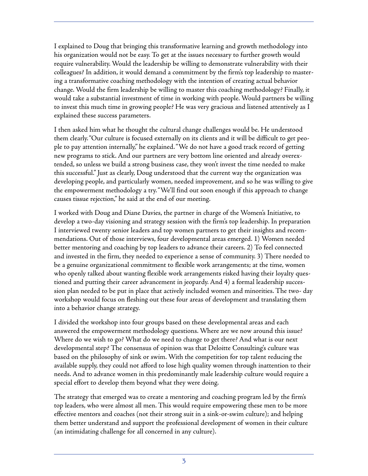I explained to Doug that bringing this transformative learning and growth methodology into his organization would not be easy. To get at the issues necessary to further growth would require vulnerability. Would the leadership be willing to demonstrate vulnerability with their colleagues? In addition, it would demand a commitment by the firm's top leadership to mastering a transformative coaching methodology with the intention of creating actual behavior change. Would the firm leadership be willing to master this coaching methodology? Finally, it would take a substantial investment of time in working with people. Would partners be willing to invest this much time in growing people? He was very gracious and listened attentively as I explained these success parameters.

I then asked him what he thought the cultural change challenges would be. He understood them clearly."Our culture is focused externally on its clients and it will be difficult to get people to pay attention internally," he explained."We do not have a good track record of getting new programs to stick. And our partners are very bottom line oriented and already overextended, so unless we build a strong business case, they won't invest the time needed to make this successful." Just as clearly, Doug understood that the current way the organization was developing people, and particularly women, needed improvement, and so he was willing to give the empowerment methodology a try."We'll find out soon enough if this approach to change causes tissue rejection," he said at the end of our meeting.

I worked with Doug and Diane Davies, the partner in charge of the Women's Initiative, to develop a two-day visioning and strategy session with the firm's top leadership. In preparation I interviewed twenty senior leaders and top women partners to get their insights and recommendations. Out of those interviews, four developmental areas emerged. 1) Women needed better mentoring and coaching by top leaders to advance their careers. 2) To feel connected and invested in the firm, they needed to experience a sense of community. 3) There needed to be a genuine organizational commitment to flexible work arrangements; at the time, women who openly talked about wanting flexible work arrangements risked having their loyalty questioned and putting their career advancement in jeopardy. And 4) a formal leadership succession plan needed to be put in place that actively included women and minorities. The two- day workshop would focus on fleshing out these four areas of development and translating them into a behavior change strategy.

I divided the workshop into four groups based on these developmental areas and each answered the empowerment methodology questions. Where are we now around this issue? Where do we wish to go? What do we need to change to get there? And what is our next developmental step? The consensus of opinion was that Deloitte Consulting's culture was based on the philosophy of sink or swim. With the competition for top talent reducing the available supply, they could not afford to lose high quality women through inattention to their needs. And to advance women in this predominantly male leadership culture would require a special effort to develop them beyond what they were doing.

The strategy that emerged was to create a mentoring and coaching program led by the firm's top leaders, who were almost all men. This would require empowering these men to be more effective mentors and coaches (not their strong suit in a sink-or-swim culture); and helping them better understand and support the professional development of women in their culture (an intimidating challenge for all concerned in any culture).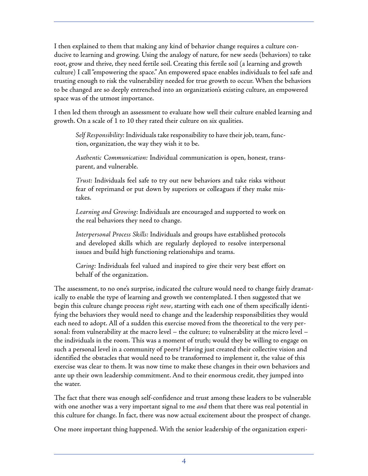I then explained to them that making any kind of behavior change requires a culture conducive to learning and growing. Using the analogy of nature, for new seeds (behaviors) to take root, grow and thrive, they need fertile soil. Creating this fertile soil (a learning and growth culture) I call"empowering the space." An empowered space enables individuals to feel safe and trusting enough to risk the vulnerability needed for true growth to occur. When the behaviors to be changed are so deeply entrenched into an organization's existing culture, an empowered space was of the utmost importance.

I then led them through an assessment to evaluate how well their culture enabled learning and growth. On a scale of 1 to 10 they rated their culture on six qualities.

Self Responsibility: Individuals take responsibility to have their job, team, function, organization, the way they wish it to be.

*Authentic Communication:* Individual communication is open, honest, transparent, and vulnerable.

*Trust:* Individuals feel safe to try out new behaviors and take risks without fear of reprimand or put down by superiors or colleagues if they make mistakes.

*Learning and Growing:* Individuals are encouraged and supported to work on the real behaviors they need to change.

*Interpersonal Process Skills:* Individuals and groups have established protocols and developed skills which are regularly deployed to resolve interpersonal issues and build high functioning relationships and teams.

*Caring:* Individuals feel valued and inspired to give their very best effort on behalf of the organization.

The assessment, to no one's surprise, indicated the culture would need to change fairly dramatically to enable the type of learning and growth we contemplated. I then suggested that we begin this culture change process *right now*, starting with each one of them specifically identifying the behaviors they would need to change and the leadership responsibilities they would each need to adopt. All of a sudden this exercise moved from the theoretical to the very personal: from vulnerability at the macro level – the culture; to vulnerability at the micro level – the individuals in the room. This was a moment of truth; would they be willing to engage on such a personal level in a community of peers? Having just created their collective vision and identified the obstacles that would need to be transformed to implement it, the value of this exercise was clear to them. It was now time to make these changes in their own behaviors and ante up their own leadership commitment. And to their enormous credit, they jumped into the water.

The fact that there was enough self-confidence and trust among these leaders to be vulnerable with one another was a very important signal to me *and* them that there was real potential in this culture for change. In fact, there was now actual excitement about the prospect of change.

One more important thing happened. With the senior leadership of the organization experi-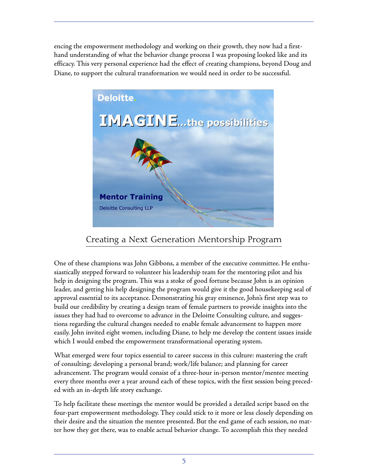encing the empowerment methodology and working on their growth, they now had a firsthand understanding of what the behavior change process I was proposing looked like and its efficacy. This very personal experience had the effect of creating champions, beyond Doug and Diane, to support the cultural transformation we would need in order to be successful.



## **Creating a Next Generation Mentorship Program**

One of these champions was John Gibbons, a member of the executive committee. He enthusiastically stepped forward to volunteer his leadership team for the mentoring pilot and his help in designing the program. This was a stoke of good fortune because John is an opinion leader, and getting his help designing the program would give it the good housekeeping seal of approval essential to its acceptance. Demonstrating his gray eminence, John's first step was to build our credibility by creating a design team of female partners to provide insights into the issues they had had to overcome to advance in the Deloitte Consulting culture, and suggestions regarding the cultural changes needed to enable female advancement to happen more easily. John invited eight women, including Diane, to help me develop the content issues inside which I would embed the empowerment transformational operating system.

What emerged were four topics essential to career success in this culture: mastering the craft of consulting; developing a personal brand; work/life balance; and planning for career advancement. The program would consist of a three-hour in-person mentor/mentee meeting every three months over a year around each of these topics, with the first session being preceded with an in-depth life story exchange.

To help facilitate these meetings the mentor would be provided a detailed script based on the four-part empowerment methodology. They could stick to it more or less closely depending on their desire and the situation the mentee presented. But the end game of each session, no matter how they got there, was to enable actual behavior change. To accomplish this they needed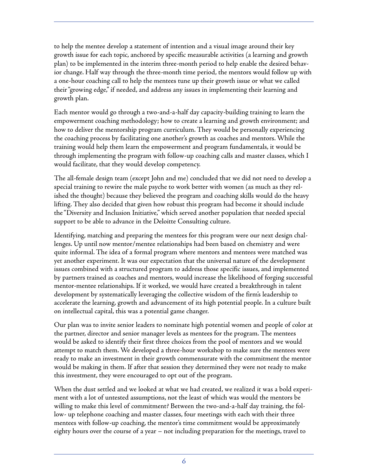to help the mentee develop a statement of intention and a visual image around their key growth issue for each topic, anchored by specific measurable activities (a learning and growth plan) to be implemented in the interim three-month period to help enable the desired behavior change. Half way through the three-month time period, the mentors would follow up with a one-hour coaching call to help the mentees tune up their growth issue or what we called their"growing edge," if needed, and address any issues in implementing their learning and growth plan.

Each mentor would go through a two-and-a-half day capacity-building training to learn the empowerment coaching methodology; how to create a learning and growth environment; and how to deliver the mentorship program curriculum. They would be personally experiencing the coaching process by facilitating one another's growth as coaches and mentors. While the training would help them learn the empowerment and program fundamentals, it would be through implementing the program with follow-up coaching calls and master classes, which I would facilitate, that they would develop competency.

The all-female design team (except John and me) concluded that we did not need to develop a special training to rewire the male psyche to work better with women (as much as they relished the thought) because they believed the program and coaching skills would do the heavy lifting. They also decided that given how robust this program had become it should include the"Diversity and Inclusion Initiative," which served another population that needed special support to be able to advance in the Deloitte Consulting culture.

Identifying, matching and preparing the mentees for this program were our next design challenges. Up until now mentor/mentee relationships had been based on chemistry and were quite informal. The idea of a formal program where mentors and mentees were matched was yet another experiment. It was our expectation that the universal nature of the development issues combined with a structured program to address those specific issues, and implemented by partners trained as coaches and mentors, would increase the likelihood of forging successful mentor-mentee relationships. If it worked, we would have created a breakthrough in talent development by systematically leveraging the collective wisdom of the firm's leadership to accelerate the learning, growth and advancement of its high potential people. In a culture built on intellectual capital, this was a potential game changer.

Our plan was to invite senior leaders to nominate high potential women and people of color at the partner, director and senior manager levels as mentees for the program. The mentees would be asked to identify their first three choices from the pool of mentors and we would attempt to match them. We developed a three-hour workshop to make sure the mentees were ready to make an investment in their growth commensurate with the commitment the mentor would be making in them. If after that session they determined they were not ready to make this investment, they were encouraged to opt out of the program.

When the dust settled and we looked at what we had created, we realized it was a bold experiment with a lot of untested assumptions, not the least of which was would the mentors be willing to make this level of commitment? Between the two-and-a-half day training, the follow- up telephone coaching and master classes, four meetings with each with their three mentees with follow-up coaching, the mentor's time commitment would be approximately eighty hours over the course of a year – not including preparation for the meetings, travel to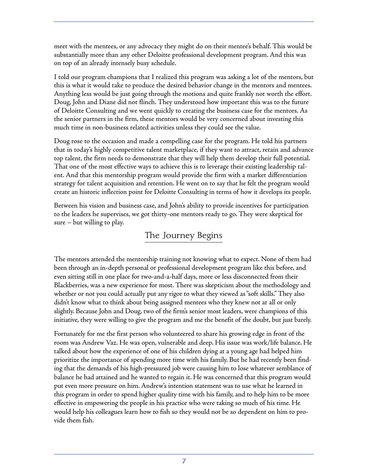meet with the mentees, or any advocacy they might do on their mentee's behalf. This would be substantially more than any other Deloitte professional development program. And this was on top of an already intensely busy schedule.

I told our program champions that I realized this program was asking a lot of the mentors, but this is what it would take to produce the desired behavior change in the mentors and mentees. Anything less would be just going through the motions and quite frankly not worth the effort. Doug, John and Diane did not flinch. They understood how important this was to the future of Deloitte Consulting and we went quickly to creating the business case for the mentors. As the senior partners in the firm, these mentors would be very concerned about investing this much time in non-business related activities unless they could see the value.

Doug rose to the occasion and made a compelling case for the program. He told his partners that in today's highly competitive talent marketplace, if they want to attract, retain and advance top talent, the firm needs to demonstrate that they will help them develop their full potential. That one of the most effective ways to achieve this is to leverage their existing leadership talent. And that this mentorship program would provide the firm with a market differentiation strategy for talent acquisition and retention. He went on to say that he felt the program would create an historic inflection point for Deloitte Consulting in terms of how it develops its people.

Between his vision and business case, and John's ability to provide incentives for participation to the leaders he supervises, we got thirty-one mentors ready to go. They were skeptical for sure – but willing to play.

#### **The Journey Begins**

The mentors attended the mentorship training not knowing what to expect. None of them had been through an in-depth personal or professional development program like this before, and even sitting still in one place for two-and-a-half days, more or less disconnected from their Blackberries, was a new experience for most. There was skepticism about the methodology and whether or not you could actually put any rigor to what they viewed as"soft skills." They also didn't know what to think about being assigned mentees who they knew not at all or only slightly. Because John and Doug, two of the firm's senior most leaders, were champions of this initiative, they were willing to give the program and me the benefit of the doubt, but just barely.

Fortunately for me the first person who volunteered to share his growing edge in front of the room was Andrew Vaz. He was open, vulnerable and deep. His issue was work/life balance. He talked about how the experience of one of his children dying at a young age had helped him prioritize the importance of spending more time with his family. But he had recently been finding that the demands of his high-pressured job were causing him to lose whatever semblance of balance he had attained and he wanted to regain it. He was concerned that this program would put even more pressure on him. Andrew's intention statement was to use what he learned in this program in order to spend higher quality time with his family, and to help him to be more effective in empowering the people in his practice who were taking so much of his time. He would help his colleagues learn how to fish so they would not be so dependent on him to provide them fish.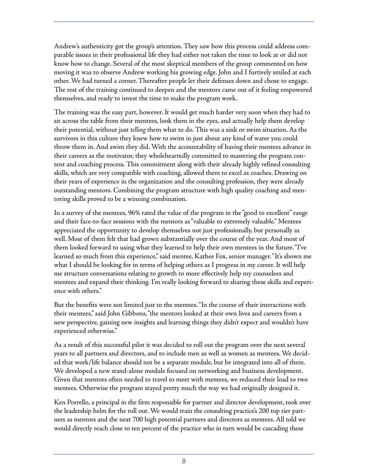Andrew's authenticity got the group's attention. They saw how this process could address comparable issues in their professional life they had either not taken the time to look at or did not know how to change. Several of the most skeptical members of the group commented on how moving it was to observe Andrew working his growing edge. John and I furtively smiled at each other. We had turned a corner. Thereafter people let their defenses down and chose to engage. The rest of the training continued to deepen and the mentors came out of it feeling empowered themselves, and ready to invest the time to make the program work.

The training was the easy part, however. It would get much harder very soon when they had to sit across the table from their mentees, look them in the eyes, and actually help them develop their potential, without just *telling* them what to do. This was a sink or swim situation. As the survivors in this culture they knew how to swim in just about any kind of water you could throw them in. And swim they did. With the accountability of having their mentees advance in their careers as the motivator, they wholeheartedly committed to mastering the program content and coaching process. This commitment along with their already highly refined consulting skills, which are very compatible with coaching, allowed them to excel as coaches. Drawing on their years of experience in the organization and the consulting profession, they were already outstanding mentors. Combining the program structure with high quality coaching and mentoring skills proved to be a winning combination.

In a survey of the mentees, 96% rated the value of the program in the"good to excellent" range and their face-to-face sessions with the mentors as"valuable to extremely valuable." Mentees appreciated the opportunity to develop themselves not just professionally, but personally as well. Most of them felt that had grown substantially over the course of the year. And most of them looked forward to using what they learned to help their own mentees in the future."I've learned so much from this experience," said mentee, Kathee Fox, senior manager."It's shown me what I should be looking for in terms of helping others as I progress in my career. It will help me structure conversations relating to growth to more effectively help my counselees and mentees and expand their thinking. I'm really looking forward to sharing these skills and experience with others."

But the benefits were not limited just to the mentees."In the course of their interactions with their mentees," said John Gibbons,"the mentors looked at their own lives and careers from a new perspective, gaining new insights and learning things they didn't expect and wouldn't have experienced otherwise."

As a result of this successful pilot it was decided to roll out the program over the next several years to all partners and directors, and to include men as well as women as mentees. We decided that work/life balance should not be a separate module, but be integrated into all of them. We developed a new stand-alone module focused on networking and business development. Given that mentors often needed to travel to meet with mentees, we reduced their load to two mentees. Otherwise the program stayed pretty much the way we had originally designed it.

Ken Porrello, a principal in the firm responsible for partner and director development, took over the leadership helm for the roll out.We would train the consulting practice's 200 top tier partners as mentors and the next 700 high potential partners and directors as mentees. All told we would directly reach close to ten percent of the practice who in turn would be cascading these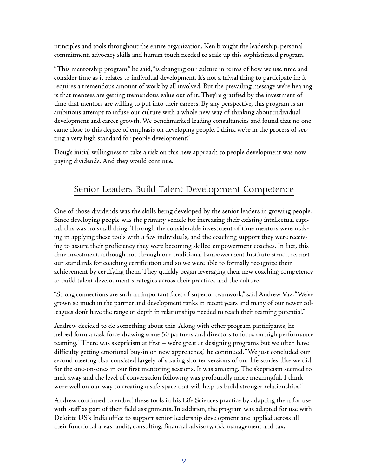principles and tools throughout the entire organization. Ken brought the leadership, personal commitment, advocacy skills and human touch needed to scale up this sophisticated program.

"This mentorship program," he said,"is changing our culture in terms of how we use time and consider time as it relates to individual development. It's not a trivial thing to participate in; it requires a tremendous amount of work by all involved. But the prevailing message we're hearing is that mentees are getting tremendous value out of it. They're gratified by the investment of time that mentors are willing to put into their careers. By any perspective, this program is an ambitious attempt to infuse our culture with a whole new way of thinking about individual development and career growth. We benchmarked leading consultancies and found that no one came close to this degree of emphasis on developing people. I think we're in the process of setting a very high standard for people development."

Doug's initial willingness to take a risk on this new approach to people development was now paying dividends. And they would continue.

## **Senior Leaders Build Talent Development Competence**

One of those dividends was the skills being developed by the senior leaders in growing people. Since developing people was the primary vehicle for increasing their existing intellectual capital, this was no small thing. Through the considerable investment of time mentors were making in applying these tools with a few individuals, and the coaching support they were receiving to assure their proficiency they were becoming skilled empowerment coaches. In fact, this time investment, although not through our traditional Empowerment Institute structure, met our standards for coaching certification and so we were able to formally recognize their achievement by certifying them. They quickly began leveraging their new coaching competency to build talent development strategies across their practices and the culture.

"Strong connections are such an important facet of superior teamwork,"said Andrew Vaz."We've grown so much in the partner and development ranks in recent years and many of our newer colleagues don't have the range or depth in relationships needed to reach their teaming potential."

Andrew decided to do something about this. Along with other program participants, he helped form a task force drawing some 50 partners and directors to focus on high performance teaming."There was skepticism at first – we're great at designing programs but we often have difficulty getting emotional buy-in on new approaches," he continued."We just concluded our second meeting that consisted largely of sharing shorter versions of our life stories, like we did for the one-on-ones in our first mentoring sessions. It was amazing. The skepticism seemed to melt away and the level of conversation following was profoundly more meaningful. I think we're well on our way to creating a safe space that will help us build stronger relationships."

Andrew continued to embed these tools in his Life Sciences practice by adapting them for use with staff as part of their field assignments. In addition, the program was adapted for use with Deloitte US's India office to support senior leadership development and applied across all their functional areas: audit, consulting, financial advisory, risk management and tax.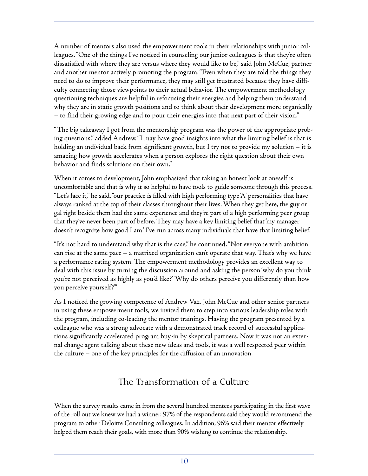A number of mentors also used the empowerment tools in their relationships with junior colleagues."One of the things I've noticed in counseling our junior colleagues is that they're often dissatisfied with where they are versus where they would like to be," said John McCue, partner and another mentor actively promoting the program."Even when they are told the things they need to do to improve their performance, they may still get frustrated because they have difficulty connecting those viewpoints to their actual behavior. The empowerment methodology questioning techniques are helpful in refocusing their energies and helping them understand why they are in static growth positions and to think about their development more organically – to find their growing edge and to pour their energies into that next part of their vision."

"The big takeaway I got from the mentorship program was the power of the appropriate probing questions," added Andrew."I may have good insights into what the limiting belief is that is holding an individual back from significant growth, but I try not to provide my solution – it is amazing how growth accelerates when a person explores the right question about their own behavior and finds solutions on their own."

When it comes to development, John emphasized that taking an honest look at oneself is uncomfortable and that is why it so helpful to have tools to guide someone through this process. "Let's face it," he said,"our practice is filled with high performing type'A' personalities that have always ranked at the top of their classes throughout their lives.When they get here, the guy or gal right beside them had the same experience and they're part of a high performing peer group that they've never been part of before. They may have a key limiting belief that'my manager doesn't recognize how good I am.' I've run across many individuals that have that limiting belief.

"It's not hard to understand why that is the case," he continued."Not everyone with ambition can rise at the same pace – a matrixed organization can't operate that way. That's why we have a performance rating system. The empowerment methodology provides an excellent way to deal with this issue by turning the discussion around and asking the person 'why do you think you're not perceived as highly as you'd like?' 'Why do others perceive you differently than how you perceive yourself?'"

As I noticed the growing competence of Andrew Vaz, John McCue and other senior partners in using these empowerment tools, we invited them to step into various leadership roles with the program, including co-leading the mentor trainings. Having the program presented by a colleague who was a strong advocate with a demonstrated track record of successful applications significantly accelerated program buy-in by skeptical partners. Now it was not an external change agent talking about these new ideas and tools, it was a well respected peer within the culture – one of the key principles for the diffusion of an innovation.

## **The Transformation of a Culture**

When the survey results came in from the several hundred mentees participating in the first wave of the roll out we knew we had a winner. 97% of the respondents said they would recommend the program to other Deloitte Consulting colleagues. In addition, 96% said their mentor effectively helped them reach their goals, with more than 90% wishing to continue the relationship.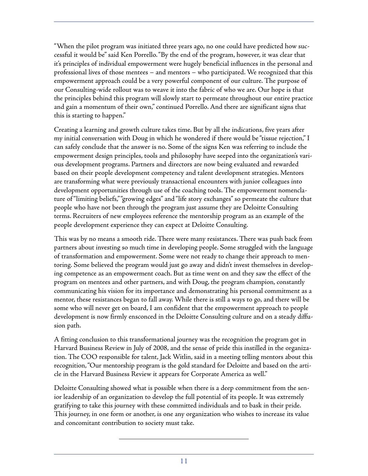"When the pilot program was initiated three years ago, no one could have predicted how successful it would be" said Ken Porrello."By the end of the program, however, it was clear that it's principles of individual empowerment were hugely beneficial influences in the personal and professional lives of those mentees – and mentors – who participated. We recognized that this empowerment approach could be a very powerful component of our culture. The purpose of our Consulting-wide rollout was to weave it into the fabric of who we are. Our hope is that the principles behind this program will slowly start to permeate throughout our entire practice and gain a momentum of their own,"continued Porrello. And there are significant signs that this is starting to happen."

Creating a learning and growth culture takes time. But by all the indications, five years after my initial conversation with Doug in which he wondered if there would be"tissue rejection," I can safely conclude that the answer is no. Some of the signs Ken was referring to include the empowerment design principles, tools and philosophy have seeped into the organization's various development programs. Partners and directors are now being evaluated and rewarded based on their people development competency and talent development strategies. Mentors are transforming what were previously transactional encounters with junior colleagues into development opportunities through use of the coaching tools. The empowerment nomenclature of "limiting beliefs,""growing edges" and "life story exchanges" so permeate the culture that people who have not been through the program just assume they are Deloitte Consulting terms. Recruiters of new employees reference the mentorship program as an example of the people development experience they can expect at Deloitte Consulting.

This was by no means a smooth ride. There were many resistances. There was push back from partners about investing so much time in developing people. Some struggled with the language of transformation and empowerment. Some were not ready to change their approach to mentoring. Some believed the program would just go away and didn't invest themselves in developing competence as an empowerment coach. But as time went on and they saw the effect of the program on mentees and other partners, and with Doug, the program champion, constantly communicating his vision for its importance and demonstrating his personal commitment as a mentor, these resistances began to fall away. While there is still a ways to go, and there will be some who will never get on board, I am confident that the empowerment approach to people development is now firmly ensconced in the Deloitte Consulting culture and on a steady diffusion path.

A fitting conclusion to this transformational journey was the recognition the program got in Harvard Business Review in July of 2008, and the sense of pride this instilled in the organization. The COO responsible for talent, Jack Witlin, said in a meeting telling mentors about this recognition,"Our mentorship program is the gold standard for Deloitte and based on the article in the Harvard Business Review it appears for Corporate America as well."

Deloitte Consulting showed what is possible when there is a deep commitment from the senior leadership of an organization to develop the full potential of its people. It was extremely gratifying to take this journey with these committed individuals and to bask in their pride. This journey, in one form or another, is one any organization who wishes to increase its value and concomitant contribution to society must take.